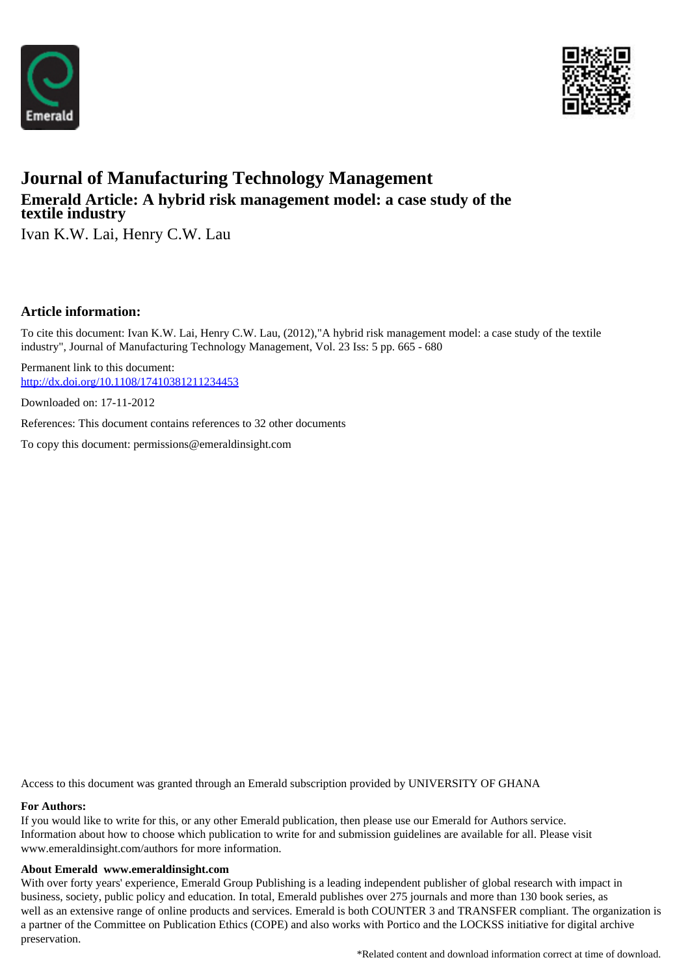



## **Journal of Manufacturing Technology Management Emerald Article: A hybrid risk management model: a case study of the textile industry**

Ivan K.W. Lai, Henry C.W. Lau

### **Article information:**

To cite this document: Ivan K.W. Lai, Henry C.W. Lau, (2012),"A hybrid risk management model: a case study of the textile industry", Journal of Manufacturing Technology Management, Vol. 23 Iss: 5 pp. 665 - 680

Permanent link to this document: http://dx.doi.org/10.1108/17410381211234453

Downloaded on: 17-11-2012

References: This document contains references to 32 other documents

To copy this document: permissions@emeraldinsight.com

Access to this document was granted through an Emerald subscription provided by UNIVERSITY OF GHANA

#### **For Authors:**

If you would like to write for this, or any other Emerald publication, then please use our Emerald for Authors service. Information about how to choose which publication to write for and submission guidelines are available for all. Please visit www.emeraldinsight.com/authors for more information.

#### **About Emerald www.emeraldinsight.com**

With over forty years' experience, Emerald Group Publishing is a leading independent publisher of global research with impact in business, society, public policy and education. In total, Emerald publishes over 275 journals and more than 130 book series, as well as an extensive range of online products and services. Emerald is both COUNTER 3 and TRANSFER compliant. The organization is a partner of the Committee on Publication Ethics (COPE) and also works with Portico and the LOCKSS initiative for digital archive preservation.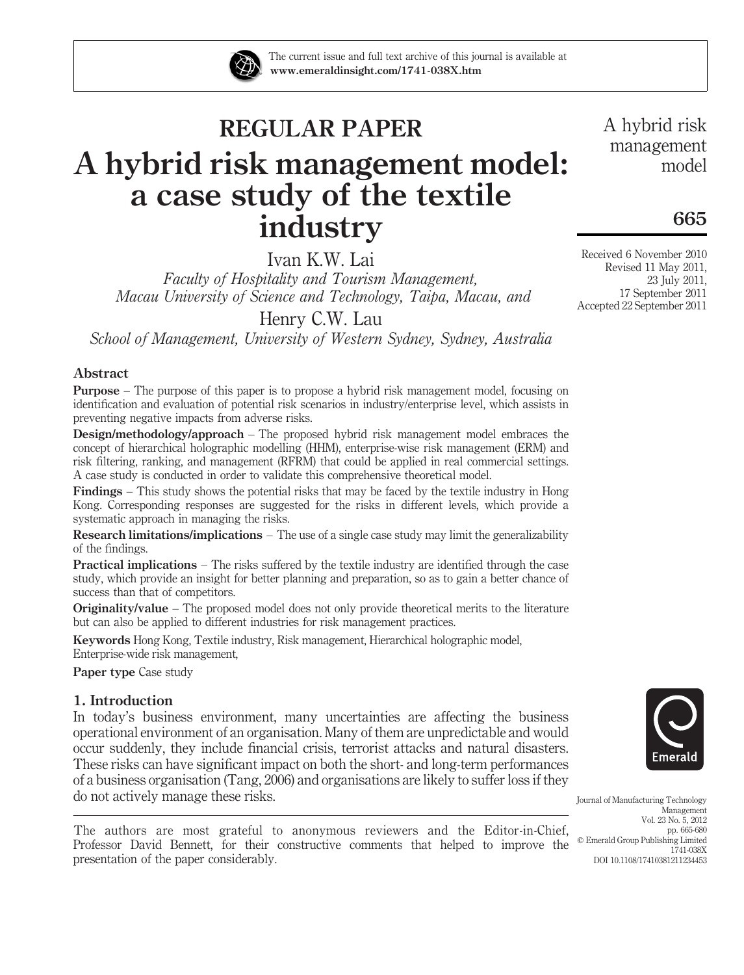

The current issue and full text archive of this journal is available at www.emeraldinsight.com/1741-038X.htm

# REGULAR PAPER A hybrid risk management model: a case study of the textile industry

Ivan K.W. Lai

Faculty of Hospitality and Tourism Management, Macau University of Science and Technology, Taipa, Macau, and

Henry C.W. Lau

School of Management, University of Western Sydney, Sydney, Australia

#### Abstract

Purpose – The purpose of this paper is to propose a hybrid risk management model, focusing on identification and evaluation of potential risk scenarios in industry/enterprise level, which assists in preventing negative impacts from adverse risks.

Design/methodology/approach – The proposed hybrid risk management model embraces the concept of hierarchical holographic modelling (HHM), enterprise-wise risk management (ERM) and risk filtering, ranking, and management (RFRM) that could be applied in real commercial settings. A case study is conducted in order to validate this comprehensive theoretical model.

Findings – This study shows the potential risks that may be faced by the textile industry in Hong Kong. Corresponding responses are suggested for the risks in different levels, which provide a systematic approach in managing the risks.

**Research limitations/implications –** The use of a single case study may limit the generalizability of the findings.

Practical implications – The risks suffered by the textile industry are identified through the case study, which provide an insight for better planning and preparation, so as to gain a better chance of success than that of competitors.

Originality/value – The proposed model does not only provide theoretical merits to the literature but can also be applied to different industries for risk management practices.

Keywords Hong Kong, Textile industry, Risk management, Hierarchical holographic model, Enterprise-wide risk management,

Paper type Case study

#### 1. Introduction

In today's business environment, many uncertainties are affecting the business operational environment of an organisation. Many of them are unpredictable and would occur suddenly, they include financial crisis, terrorist attacks and natural disasters. These risks can have significant impact on both the short- and long-term performances of a business organisation (Tang, 2006) and organisations are likely to suffer loss if they do not actively manage these risks.

The authors are most grateful to anonymous reviewers and the Editor-in-Chief, Professor David Bennett, for their constructive comments that helped to improve the presentation of the paper considerably.

A hybrid risk management model

## 665

Received 6 November 2010 Revised 11 May 2011, 23 July 2011, 17 September 2011 Accepted 22 September 2011



Journal of Manufacturing Technology Management Vol. 23 No. 5, 2012 pp. 665-680  $©$  Emerald Group Publishing Limited 1741-038X DOI 10.1108/17410381211234453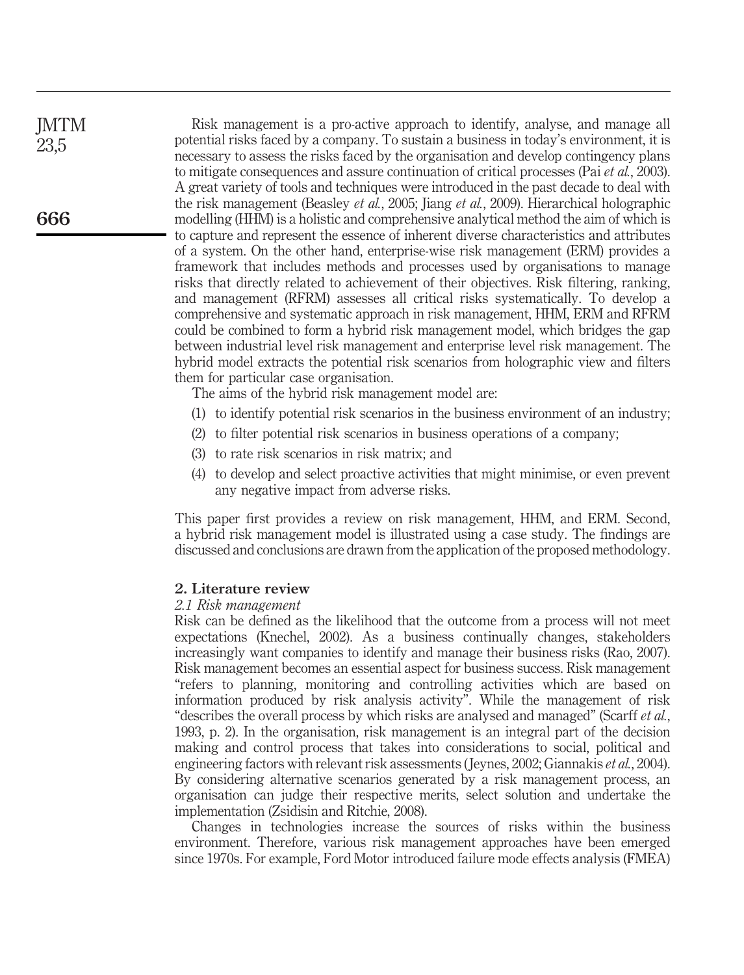Risk management is a pro-active approach to identify, analyse, and manage all potential risks faced by a company. To sustain a business in today's environment, it is necessary to assess the risks faced by the organisation and develop contingency plans to mitigate consequences and assure continuation of critical processes (Pai *et al.*, 2003). A great variety of tools and techniques were introduced in the past decade to deal with the risk management (Beasley et al., 2005; Jiang et al., 2009). Hierarchical holographic modelling (HHM) is a holistic and comprehensive analytical method the aim of which is to capture and represent the essence of inherent diverse characteristics and attributes of a system. On the other hand, enterprise-wise risk management (ERM) provides a framework that includes methods and processes used by organisations to manage risks that directly related to achievement of their objectives. Risk filtering, ranking, and management (RFRM) assesses all critical risks systematically. To develop a comprehensive and systematic approach in risk management, HHM, ERM and RFRM could be combined to form a hybrid risk management model, which bridges the gap between industrial level risk management and enterprise level risk management. The hybrid model extracts the potential risk scenarios from holographic view and filters them for particular case organisation.

The aims of the hybrid risk management model are:

- (1) to identify potential risk scenarios in the business environment of an industry;
- (2) to filter potential risk scenarios in business operations of a company;
- (3) to rate risk scenarios in risk matrix; and
- (4) to develop and select proactive activities that might minimise, or even prevent any negative impact from adverse risks.

This paper first provides a review on risk management, HHM, and ERM. Second, a hybrid risk management model is illustrated using a case study. The findings are discussed and conclusions are drawn from the application of the proposed methodology.

#### 2. Literature review

#### 2.1 Risk management

Risk can be defined as the likelihood that the outcome from a process will not meet expectations (Knechel, 2002). As a business continually changes, stakeholders increasingly want companies to identify and manage their business risks (Rao, 2007). Risk management becomes an essential aspect for business success. Risk management "refers to planning, monitoring and controlling activities which are based on information produced by risk analysis activity". While the management of risk "describes the overall process by which risks are analysed and managed" (Scarff *et al.*, 1993, p. 2). In the organisation, risk management is an integral part of the decision making and control process that takes into considerations to social, political and engineering factors with relevant risk assessments (Jeynes, 2002; Giannakis et al., 2004). By considering alternative scenarios generated by a risk management process, an organisation can judge their respective merits, select solution and undertake the implementation (Zsidisin and Ritchie, 2008).

Changes in technologies increase the sources of risks within the business environment. Therefore, various risk management approaches have been emerged since 1970s. For example, Ford Motor introduced failure mode effects analysis (FMEA)

**IMTM** 23,5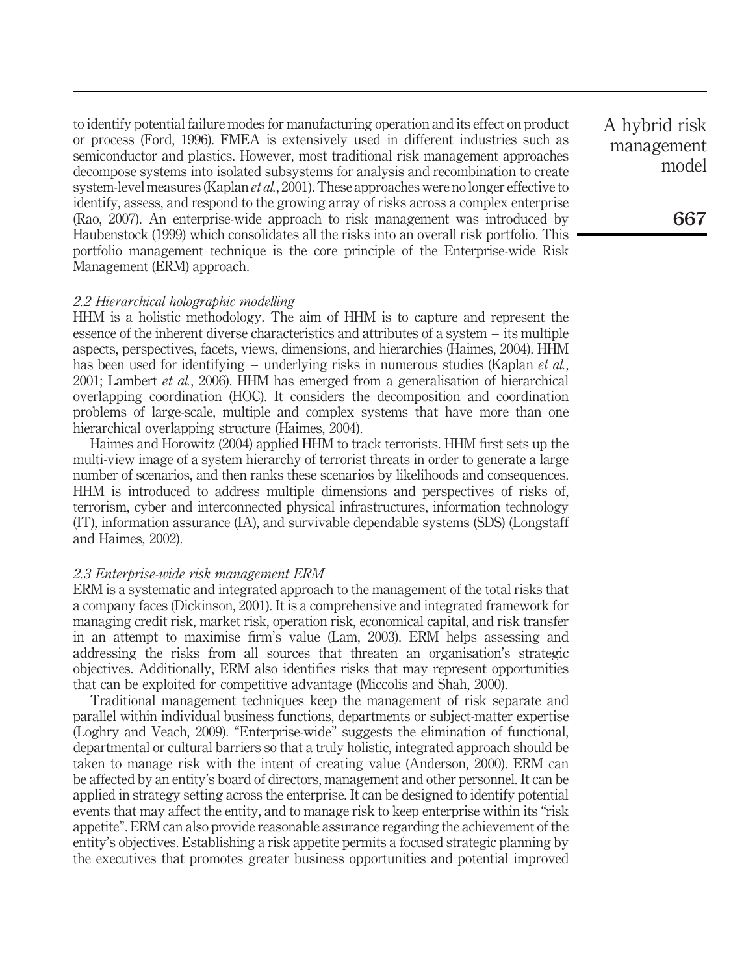to identify potential failure modes for manufacturing operation and its effect on product or process (Ford, 1996). FMEA is extensively used in different industries such as semiconductor and plastics. However, most traditional risk management approaches decompose systems into isolated subsystems for analysis and recombination to create system-level measures (Kaplan *et al.*, 2001). These approaches were no longer effective to identify, assess, and respond to the growing array of risks across a complex enterprise (Rao, 2007). An enterprise-wide approach to risk management was introduced by Haubenstock (1999) which consolidates all the risks into an overall risk portfolio. This portfolio management technique is the core principle of the Enterprise-wide Risk Management (ERM) approach.

#### 2.2 Hierarchical holographic modelling

HHM is a holistic methodology. The aim of HHM is to capture and represent the essence of the inherent diverse characteristics and attributes of a system – its multiple aspects, perspectives, facets, views, dimensions, and hierarchies (Haimes, 2004). HHM has been used for identifying – underlying risks in numerous studies (Kaplan *et al.*, 2001; Lambert et al., 2006). HHM has emerged from a generalisation of hierarchical overlapping coordination (HOC). It considers the decomposition and coordination problems of large-scale, multiple and complex systems that have more than one hierarchical overlapping structure (Haimes, 2004).

Haimes and Horowitz (2004) applied HHM to track terrorists. HHM first sets up the multi-view image of a system hierarchy of terrorist threats in order to generate a large number of scenarios, and then ranks these scenarios by likelihoods and consequences. HHM is introduced to address multiple dimensions and perspectives of risks of, terrorism, cyber and interconnected physical infrastructures, information technology (IT), information assurance (IA), and survivable dependable systems (SDS) (Longstaff and Haimes, 2002).

#### 2.3 Enterprise-wide risk management ERM

ERM is a systematic and integrated approach to the management of the total risks that a company faces (Dickinson, 2001). It is a comprehensive and integrated framework for managing credit risk, market risk, operation risk, economical capital, and risk transfer in an attempt to maximise firm's value (Lam, 2003). ERM helps assessing and addressing the risks from all sources that threaten an organisation's strategic objectives. Additionally, ERM also identifies risks that may represent opportunities that can be exploited for competitive advantage (Miccolis and Shah, 2000).

Traditional management techniques keep the management of risk separate and parallel within individual business functions, departments or subject-matter expertise (Loghry and Veach, 2009). "Enterprise-wide" suggests the elimination of functional, departmental or cultural barriers so that a truly holistic, integrated approach should be taken to manage risk with the intent of creating value (Anderson, 2000). ERM can be affected by an entity's board of directors, management and other personnel. It can be applied in strategy setting across the enterprise. It can be designed to identify potential events that may affect the entity, and to manage risk to keep enterprise within its "risk appetite". ERM can also provide reasonable assurance regarding the achievement of the entity's objectives. Establishing a risk appetite permits a focused strategic planning by the executives that promotes greater business opportunities and potential improved A hybrid risk management model

667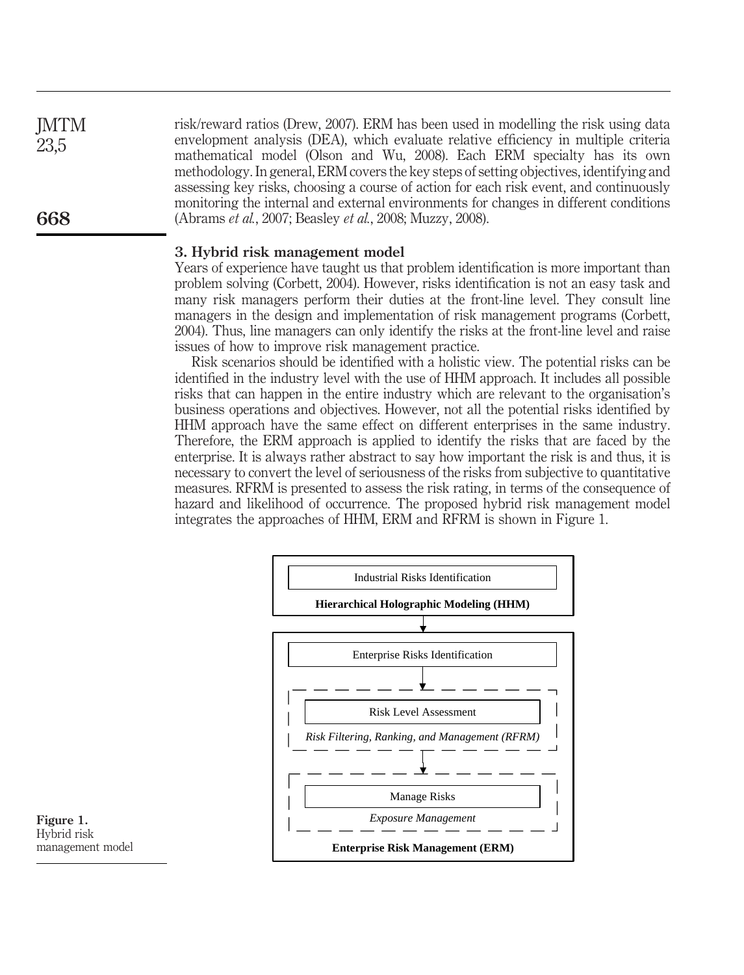| JMTM | risk/reward ratios (Drew, 2007). ERM has been used in modelling the risk using data      |
|------|------------------------------------------------------------------------------------------|
| 23,5 | envelopment analysis (DEA), which evaluate relative efficiency in multiple criteria      |
|      | mathematical model (Olson and Wu, 2008). Each ERM specialty has its own                  |
|      | methodology. In general, ERM covers the key steps of setting objectives, identifying and |
|      | assessing key risks, choosing a course of action for each risk event, and continuously   |
|      | monitoring the internal and external environments for changes in different conditions    |
| 668  | (Abrams <i>et al., 2007; Beasley <i>et al., 2008; Muzzy, 2008</i>).</i>                  |
|      |                                                                                          |

#### 3. Hybrid risk management model

Years of experience have taught us that problem identification is more important than problem solving (Corbett, 2004). However, risks identification is not an easy task and many risk managers perform their duties at the front-line level. They consult line managers in the design and implementation of risk management programs (Corbett, 2004). Thus, line managers can only identify the risks at the front-line level and raise issues of how to improve risk management practice.

Risk scenarios should be identified with a holistic view. The potential risks can be identified in the industry level with the use of HHM approach. It includes all possible risks that can happen in the entire industry which are relevant to the organisation's business operations and objectives. However, not all the potential risks identified by HHM approach have the same effect on different enterprises in the same industry. Therefore, the ERM approach is applied to identify the risks that are faced by the enterprise. It is always rather abstract to say how important the risk is and thus, it is necessary to convert the level of seriousness of the risks from subjective to quantitative measures. RFRM is presented to assess the risk rating, in terms of the consequence of hazard and likelihood of occurrence. The proposed hybrid risk management model integrates the approaches of HHM, ERM and RFRM is shown in Figure 1.



Figure 1. Hybrid risk management model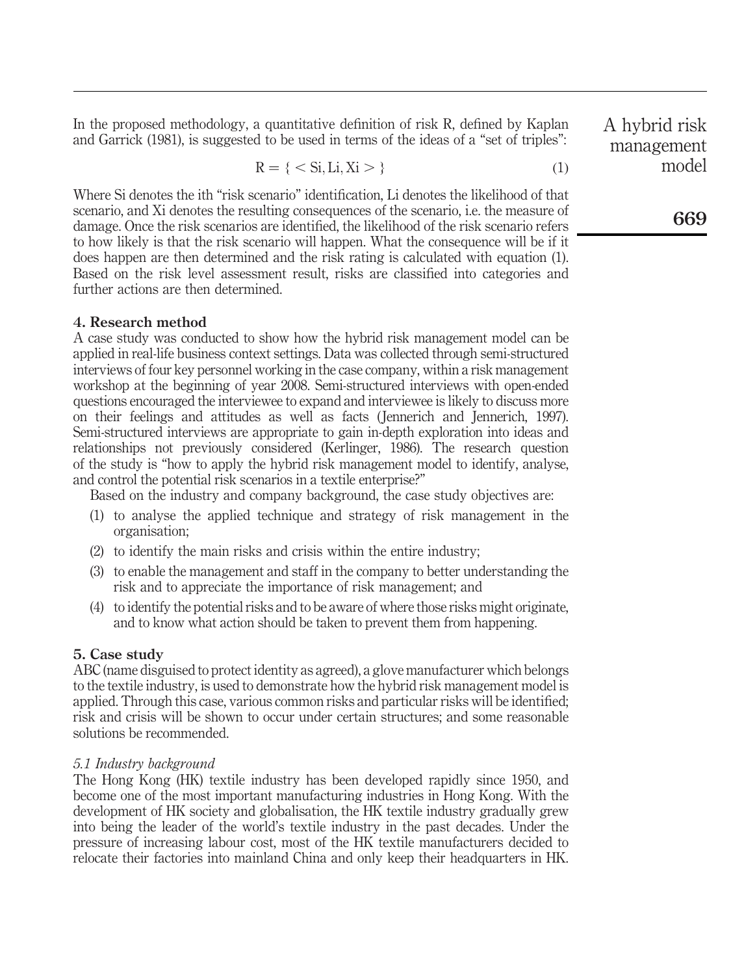In the proposed methodology, a quantitative definition of risk R, defined by Kaplan and Garrick (1981), is suggested to be used in terms of the ideas of a "set of triples":

$$
R = \{ < Si, Li, Xi > \} \tag{1}
$$

Where Si denotes the ith "risk scenario" identification, Li denotes the likelihood of that scenario, and Xi denotes the resulting consequences of the scenario, i.e. the measure of damage. Once the risk scenarios are identified, the likelihood of the risk scenario refers to how likely is that the risk scenario will happen. What the consequence will be if it does happen are then determined and the risk rating is calculated with equation (1). Based on the risk level assessment result, risks are classified into categories and further actions are then determined.

#### 4. Research method

A case study was conducted to show how the hybrid risk management model can be applied in real-life business context settings. Data was collected through semi-structured interviews of four key personnel working in the case company, within a risk management workshop at the beginning of year 2008. Semi-structured interviews with open-ended questions encouraged the interviewee to expand and interviewee is likely to discuss more on their feelings and attitudes as well as facts (Jennerich and Jennerich, 1997). Semi-structured interviews are appropriate to gain in-depth exploration into ideas and relationships not previously considered (Kerlinger, 1986). The research question of the study is "how to apply the hybrid risk management model to identify, analyse, and control the potential risk scenarios in a textile enterprise?"

Based on the industry and company background, the case study objectives are:

- (1) to analyse the applied technique and strategy of risk management in the organisation;
- (2) to identify the main risks and crisis within the entire industry;
- (3) to enable the management and staff in the company to better understanding the risk and to appreciate the importance of risk management; and
- (4) to identify the potential risks and to be aware of where those risks might originate, and to know what action should be taken to prevent them from happening.

#### 5. Case study

ABC (name disguised to protect identity as agreed), a glove manufacturer which belongs to the textile industry, is used to demonstrate how the hybrid risk management model is applied. Through this case, various common risks and particular risks will be identified; risk and crisis will be shown to occur under certain structures; and some reasonable solutions be recommended.

#### 5.1 Industry background

The Hong Kong (HK) textile industry has been developed rapidly since 1950, and become one of the most important manufacturing industries in Hong Kong. With the development of HK society and globalisation, the HK textile industry gradually grew into being the leader of the world's textile industry in the past decades. Under the pressure of increasing labour cost, most of the HK textile manufacturers decided to relocate their factories into mainland China and only keep their headquarters in HK. A hybrid risk management model

669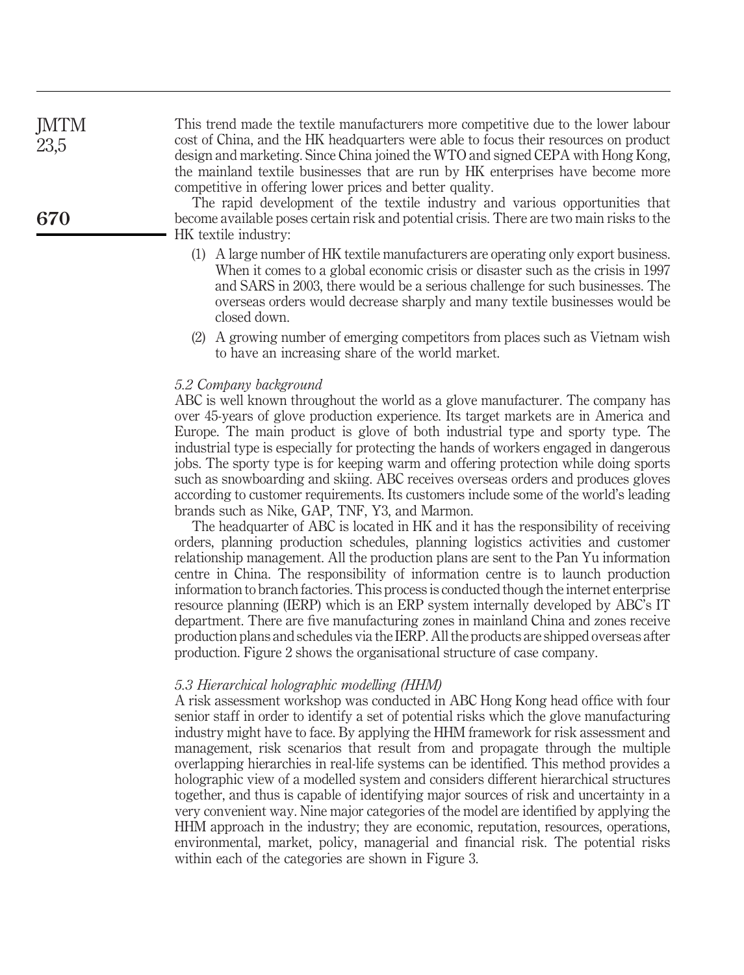| JMTM<br>23,5 | This trend made the textile manufacturers more competitive due to the lower labour<br>cost of China, and the HK headquarters were able to focus their resources on product<br>design and marketing. Since China joined the WTO and signed CEPA with Hong Kong, |
|--------------|----------------------------------------------------------------------------------------------------------------------------------------------------------------------------------------------------------------------------------------------------------------|
|              | the mainland textile businesses that are run by HK enterprises have become more<br>competitive in offering lower prices and better quality.<br>The rapid development of the textile industry and various opportunities that                                    |
| 670          | become available poses certain risk and potential crisis. There are two main risks to the<br>HK textile industry:                                                                                                                                              |

- (1) A large number of HK textile manufacturers are operating only export business. When it comes to a global economic crisis or disaster such as the crisis in 1997 and SARS in 2003, there would be a serious challenge for such businesses. The overseas orders would decrease sharply and many textile businesses would be closed down.
- (2) A growing number of emerging competitors from places such as Vietnam wish to have an increasing share of the world market.

#### 5.2 Company background

ABC is well known throughout the world as a glove manufacturer. The company has over 45-years of glove production experience. Its target markets are in America and Europe. The main product is glove of both industrial type and sporty type. The industrial type is especially for protecting the hands of workers engaged in dangerous jobs. The sporty type is for keeping warm and offering protection while doing sports such as snowboarding and skiing. ABC receives overseas orders and produces gloves according to customer requirements. Its customers include some of the world's leading brands such as Nike, GAP, TNF, Y3, and Marmon.

The headquarter of ABC is located in HK and it has the responsibility of receiving orders, planning production schedules, planning logistics activities and customer relationship management. All the production plans are sent to the Pan Yu information centre in China. The responsibility of information centre is to launch production information to branch factories. This process is conducted though the internet enterprise resource planning (IERP) which is an ERP system internally developed by ABC's IT department. There are five manufacturing zones in mainland China and zones receive production plans and schedules via the IERP. All the products are shipped overseas after production. Figure 2 shows the organisational structure of case company.

#### 5.3 Hierarchical holographic modelling (HHM)

A risk assessment workshop was conducted in ABC Hong Kong head office with four senior staff in order to identify a set of potential risks which the glove manufacturing industry might have to face. By applying the HHM framework for risk assessment and management, risk scenarios that result from and propagate through the multiple overlapping hierarchies in real-life systems can be identified. This method provides a holographic view of a modelled system and considers different hierarchical structures together, and thus is capable of identifying major sources of risk and uncertainty in a very convenient way. Nine major categories of the model are identified by applying the HHM approach in the industry; they are economic, reputation, resources, operations, environmental, market, policy, managerial and financial risk. The potential risks within each of the categories are shown in Figure 3.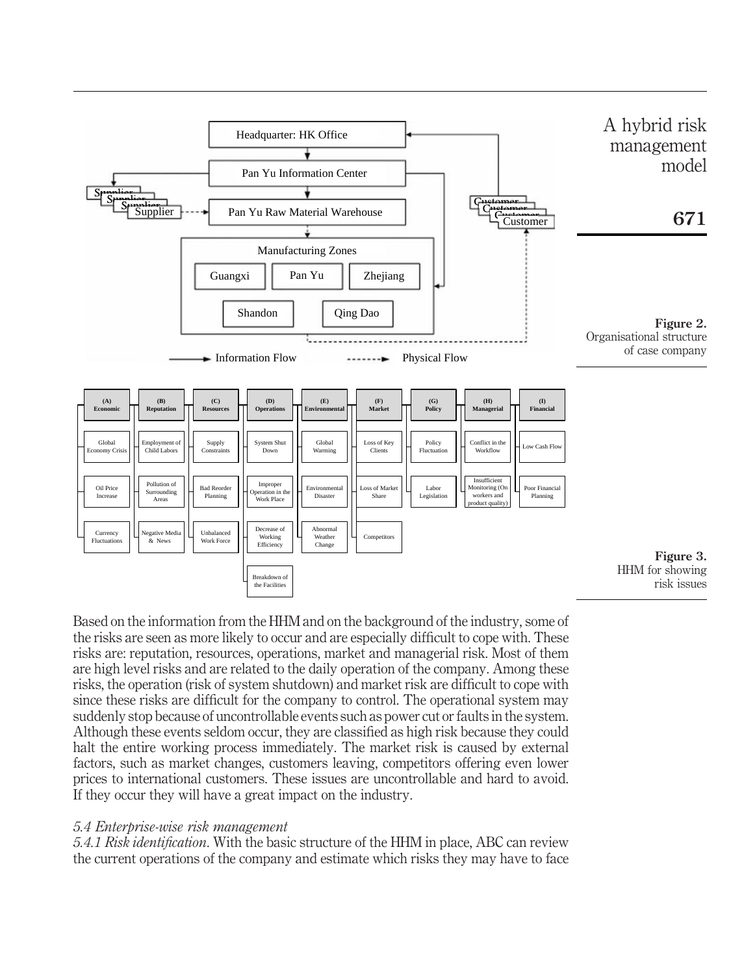

Based on the information from the HHM and on the background of the industry, some of the risks are seen as more likely to occur and are especially difficult to cope with. These risks are: reputation, resources, operations, market and managerial risk. Most of them are high level risks and are related to the daily operation of the company. Among these risks, the operation (risk of system shutdown) and market risk are difficult to cope with since these risks are difficult for the company to control. The operational system may suddenly stop because of uncontrollable events such as power cut or faults in the system. Although these events seldom occur, they are classified as high risk because they could halt the entire working process immediately. The market risk is caused by external factors, such as market changes, customers leaving, competitors offering even lower prices to international customers. These issues are uncontrollable and hard to avoid. If they occur they will have a great impact on the industry.

#### 5.4 Enterprise-wise risk management

5.4.1 Risk identification. With the basic structure of the HHM in place, ABC can review the current operations of the company and estimate which risks they may have to face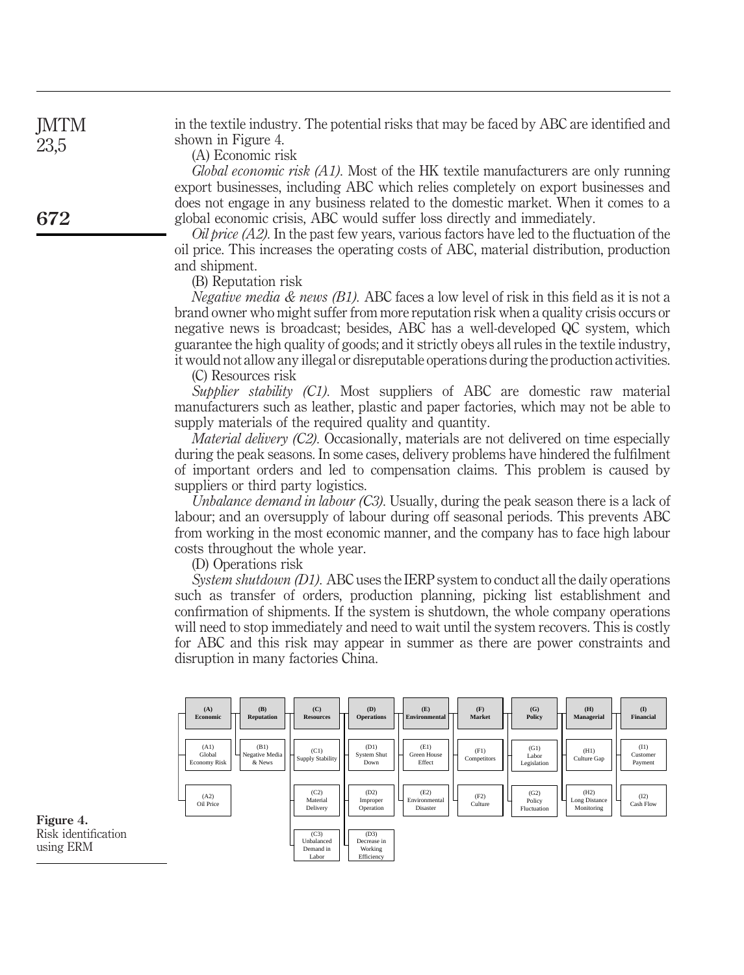| <b>JMTM</b> |  |
|-------------|--|
| ソスリ         |  |

in the textile industry. The potential risks that may be faced by ABC are identified and shown in Figure 4.

(A) Economic risk

Global economic risk (A1). Most of the HK textile manufacturers are only running export businesses, including ABC which relies completely on export businesses and does not engage in any business related to the domestic market. When it comes to a global economic crisis, ABC would suffer loss directly and immediately.

*Oil price (A2)*. In the past few years, various factors have led to the fluctuation of the oil price. This increases the operating costs of ABC, material distribution, production and shipment.

(B) Reputation risk

*Negative media & news (B1).* ABC faces a low level of risk in this field as it is not a brand owner who might suffer from more reputation risk when a quality crisis occurs or negative news is broadcast; besides, ABC has a well-developed QC system, which guarantee the high quality of goods; and it strictly obeys all rules in the textile industry, it would not allow any illegal or disreputable operations during the production activities.

(C) Resources risk

Supplier stability (C1). Most suppliers of ABC are domestic raw material manufacturers such as leather, plastic and paper factories, which may not be able to supply materials of the required quality and quantity.

Material delivery (C2). Occasionally, materials are not delivered on time especially during the peak seasons. In some cases, delivery problems have hindered the fulfilment of important orders and led to compensation claims. This problem is caused by suppliers or third party logistics.

Unbalance demand in labour  $(C3)$ . Usually, during the peak season there is a lack of labour; and an oversupply of labour during off seasonal periods. This prevents ABC from working in the most economic manner, and the company has to face high labour costs throughout the whole year.

(D) Operations risk

System shutdown (D1). ABC uses the IERP system to conduct all the daily operations such as transfer of orders, production planning, picking list establishment and confirmation of shipments. If the system is shutdown, the whole company operations will need to stop immediately and need to wait until the system recovers. This is costly for ABC and this risk may appear in summer as there are power constraints and disruption in many factories China.



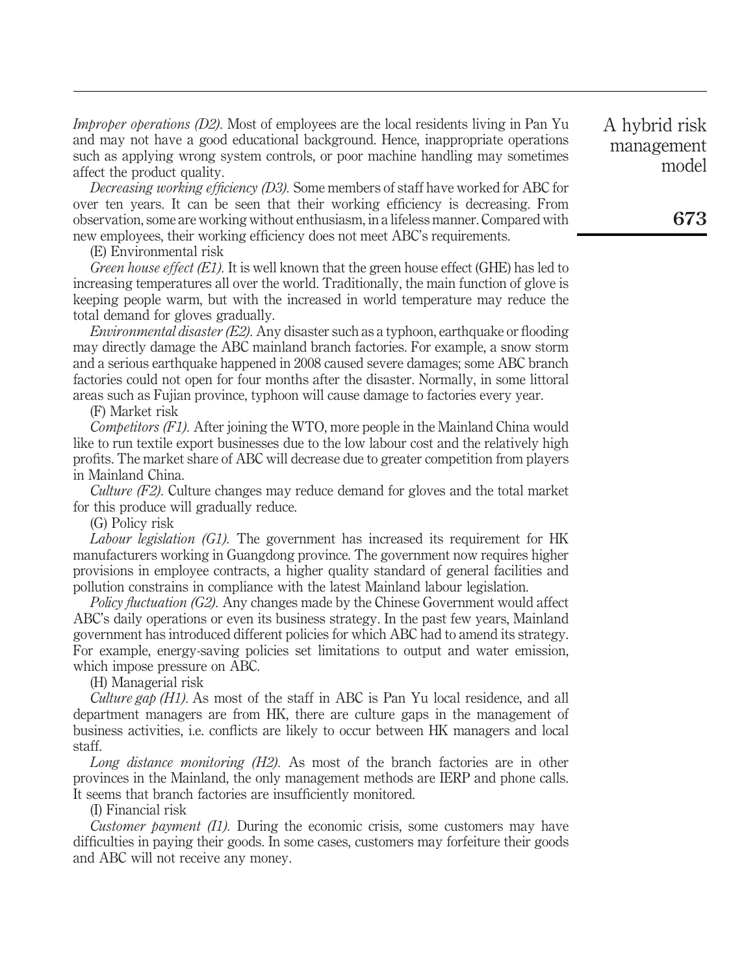Improper operations (D2). Most of employees are the local residents living in Pan Yu and may not have a good educational background. Hence, inappropriate operations such as applying wrong system controls, or poor machine handling may sometimes affect the product quality.

Decreasing working efficiency (D3). Some members of staff have worked for ABC for over ten years. It can be seen that their working efficiency is decreasing. From observation, some are working without enthusiasm, in a lifeless manner. Compared with new employees, their working efficiency does not meet ABC's requirements.

(E) Environmental risk

*Green house effect (E1).* It is well known that the green house effect (GHE) has led to increasing temperatures all over the world. Traditionally, the main function of glove is keeping people warm, but with the increased in world temperature may reduce the total demand for gloves gradually.

*Environmental disaster (E2).* Any disaster such as a typhoon, earthquake or flooding may directly damage the ABC mainland branch factories. For example, a snow storm and a serious earthquake happened in 2008 caused severe damages; some ABC branch factories could not open for four months after the disaster. Normally, in some littoral areas such as Fujian province, typhoon will cause damage to factories every year.

(F) Market risk

*Competitors (F1).* After joining the WTO, more people in the Mainland China would like to run textile export businesses due to the low labour cost and the relatively high profits. The market share of ABC will decrease due to greater competition from players in Mainland China.

*Culture (F2).* Culture changes may reduce demand for gloves and the total market for this produce will gradually reduce.

(G) Policy risk

Labour legislation (G1). The government has increased its requirement for HK manufacturers working in Guangdong province. The government now requires higher provisions in employee contracts, a higher quality standard of general facilities and pollution constrains in compliance with the latest Mainland labour legislation.

*Policy fluctuation (G2).* Any changes made by the Chinese Government would affect ABC's daily operations or even its business strategy. In the past few years, Mainland government has introduced different policies for which ABC had to amend its strategy. For example, energy-saving policies set limitations to output and water emission, which impose pressure on ABC.

(H) Managerial risk

Culture gap (H1). As most of the staff in ABC is Pan Yu local residence, and all department managers are from HK, there are culture gaps in the management of business activities, i.e. conflicts are likely to occur between HK managers and local staff.

Long distance monitoring (H2). As most of the branch factories are in other provinces in the Mainland, the only management methods are IERP and phone calls. It seems that branch factories are insufficiently monitored.

(I) Financial risk

*Customer payment (I1).* During the economic crisis, some customers may have difficulties in paying their goods. In some cases, customers may forfeiture their goods and ABC will not receive any money.

A hybrid risk management model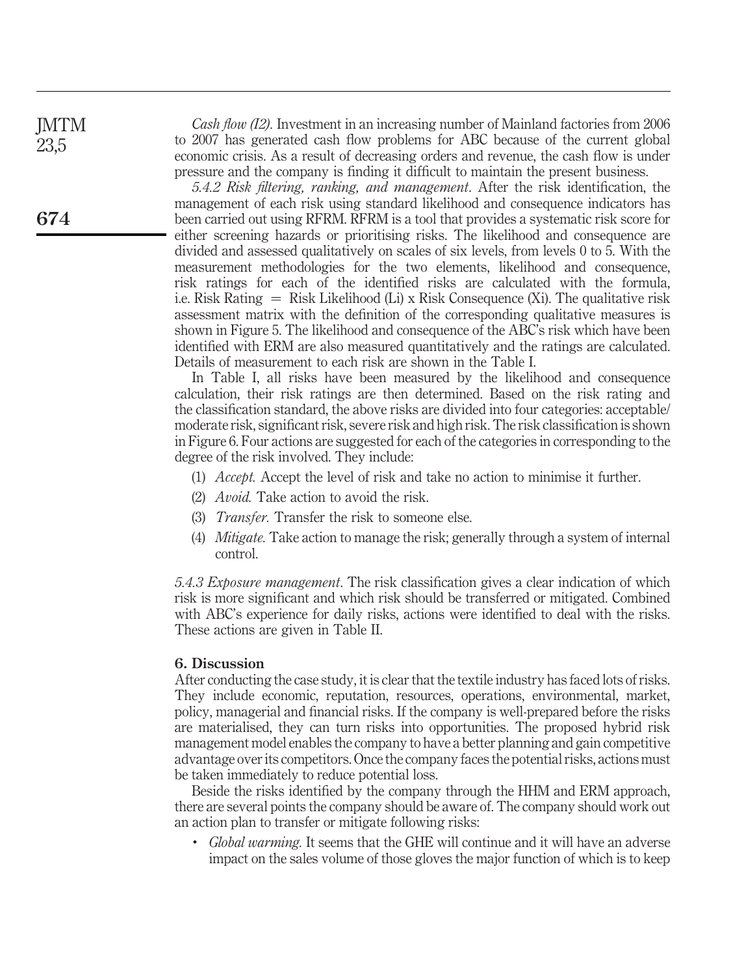**IMTM** 23,5

Cash flow (I2). Investment in an increasing number of Mainland factories from 2006 to 2007 has generated cash flow problems for ABC because of the current global economic crisis. As a result of decreasing orders and revenue, the cash flow is under pressure and the company is finding it difficult to maintain the present business.

5.4.2 Risk filtering, ranking, and management. After the risk identification, the management of each risk using standard likelihood and consequence indicators has been carried out using RFRM. RFRM is a tool that provides a systematic risk score for either screening hazards or prioritising risks. The likelihood and consequence are divided and assessed qualitatively on scales of six levels, from levels 0 to 5. With the measurement methodologies for the two elements, likelihood and consequence, risk ratings for each of the identified risks are calculated with the formula, i.e. Risk Rating  $=$  Risk Likelihood (Li) x Risk Consequence (Xi). The qualitative risk assessment matrix with the definition of the corresponding qualitative measures is shown in Figure 5. The likelihood and consequence of the ABC's risk which have been identified with ERM are also measured quantitatively and the ratings are calculated. Details of measurement to each risk are shown in the Table I.

In Table I, all risks have been measured by the likelihood and consequence calculation, their risk ratings are then determined. Based on the risk rating and the classification standard, the above risks are divided into four categories: acceptable/ moderate risk, significant risk, severe risk and high risk. The risk classification is shown in Figure 6. Four actions are suggested for each of the categories in corresponding to the degree of the risk involved. They include:

- (1) Accept. Accept the level of risk and take no action to minimise it further.
- (2) Avoid. Take action to avoid the risk.
- (3) Transfer. Transfer the risk to someone else.
- (4) Mitigate. Take action to manage the risk; generally through a system of internal control.

5.4.3 Exposure management. The risk classification gives a clear indication of which risk is more significant and which risk should be transferred or mitigated. Combined with ABC's experience for daily risks, actions were identified to deal with the risks. These actions are given in Table II.

#### 6. Discussion

After conducting the case study, it is clear that the textile industry has faced lots of risks. They include economic, reputation, resources, operations, environmental, market, policy, managerial and financial risks. If the company is well-prepared before the risks are materialised, they can turn risks into opportunities. The proposed hybrid risk management model enables the company to have a better planning and gain competitive advantage over its competitors. Once the company faces the potential risks, actions must be taken immediately to reduce potential loss.

Beside the risks identified by the company through the HHM and ERM approach, there are several points the company should be aware of. The company should work out an action plan to transfer or mitigate following risks:

. Global warming. It seems that the GHE will continue and it will have an adverse impact on the sales volume of those gloves the major function of which is to keep

674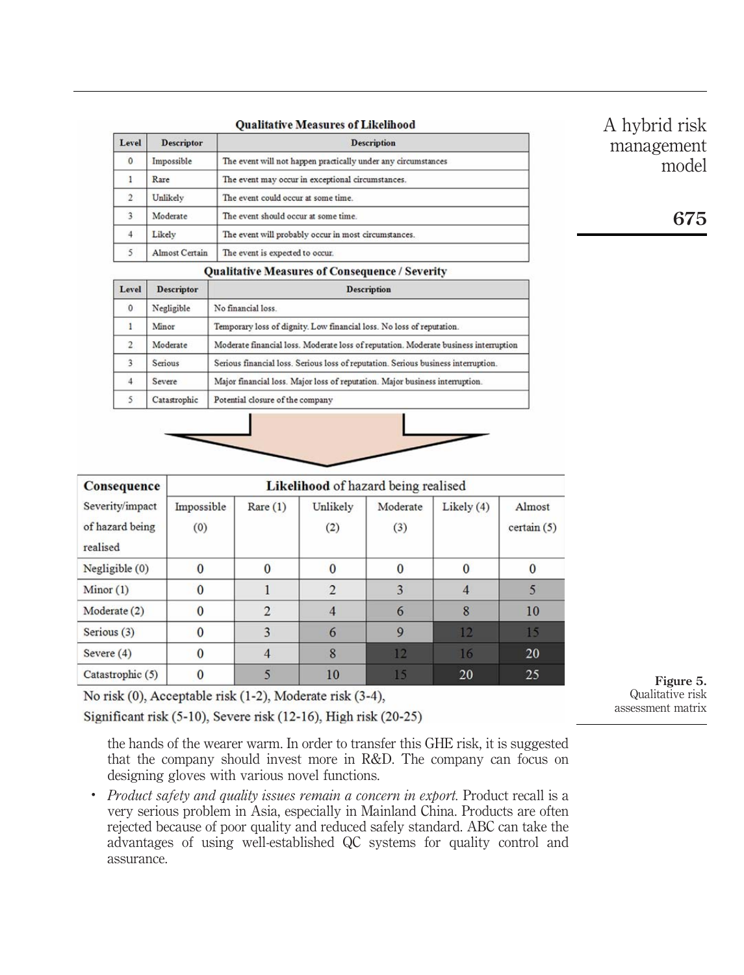#### **Qualitative Measures of Likelihood**

| <b>Descriptor</b>     | <b>Description</b>                                            |  |  |  |  |  |
|-----------------------|---------------------------------------------------------------|--|--|--|--|--|
| Impossible            | The event will not happen practically under any circumstances |  |  |  |  |  |
| Rare                  | The event may occur in exceptional circumstances.             |  |  |  |  |  |
| Unlikely              | The event could occur at some time.                           |  |  |  |  |  |
| Moderate              | The event should occur at some time.                          |  |  |  |  |  |
| Likely                | The event will probably occur in most circumstances.          |  |  |  |  |  |
| <b>Almost Certain</b> | The event is expected to occur.                               |  |  |  |  |  |
|                       |                                                               |  |  |  |  |  |

Qualitative Measures of Consequence / Severity

| Level<br><b>Descriptor</b> |              | <b>Description</b>                                                                   |  |  |  |  |  |
|----------------------------|--------------|--------------------------------------------------------------------------------------|--|--|--|--|--|
| $\mathbf{0}$               | Negligible   | No financial loss.                                                                   |  |  |  |  |  |
| 1                          | Minor        | Temporary loss of dignity. Low financial loss. No loss of reputation.                |  |  |  |  |  |
| $\overline{2}$             | Moderate     | Moderate financial loss. Moderate loss of reputation. Moderate business interruption |  |  |  |  |  |
| 3                          | Serious      | Serious financial loss. Serious loss of reputation. Serious business interruption.   |  |  |  |  |  |
| 4                          | Severe       | Major financial loss. Major loss of reputation. Major business interruption.         |  |  |  |  |  |
| 5                          | Catastrophic | Potential closure of the company                                                     |  |  |  |  |  |

A hybrid risk management model

675



| Consequence                                    | Likelihood of hazard being realised |                |                 |                 |            |                      |  |  |  |  |
|------------------------------------------------|-------------------------------------|----------------|-----------------|-----------------|------------|----------------------|--|--|--|--|
| Severity/impact<br>of hazard being<br>realised | Impossible<br>(0)                   | Rare $(1)$     | Unlikely<br>(2) | Moderate<br>(3) | Likely (4) | Almost<br>certain(5) |  |  |  |  |
| Negligible (0)                                 | $\bf{0}$                            | $\mathbf{0}$   | $\mathbf{0}$    |                 |            |                      |  |  |  |  |
| Minor(1)                                       | $\theta$                            |                | $\overline{2}$  | 3               |            | 5                    |  |  |  |  |
| Modernate(2)                                   | $\Omega$                            | $\overline{2}$ |                 | 6               | 8          | 10                   |  |  |  |  |
| Serious (3)                                    | $\theta$                            | 3              | 6               | 9               | 12         | 15                   |  |  |  |  |
| Severe $(4)$                                   | $\Omega$                            |                | 8               | $12 \,$         | 16         | 20                   |  |  |  |  |
| Catastrophic (5)                               | $\mathbf{0}$                        |                | 10              | 15              | 20         | 25                   |  |  |  |  |

No risk (0), Acceptable risk (1-2), Moderate risk (3-4),

Significant risk (5-10), Severe risk (12-16), High risk (20-25)

the hands of the wearer warm. In order to transfer this GHE risk, it is suggested that the company should invest more in R&D. The company can focus on designing gloves with various novel functions.

. Product safety and quality issues remain a concern in export. Product recall is a very serious problem in Asia, especially in Mainland China. Products are often rejected because of poor quality and reduced safely standard. ABC can take the advantages of using well-established QC systems for quality control and assurance.

Figure 5. Qualitative risk assessment matrix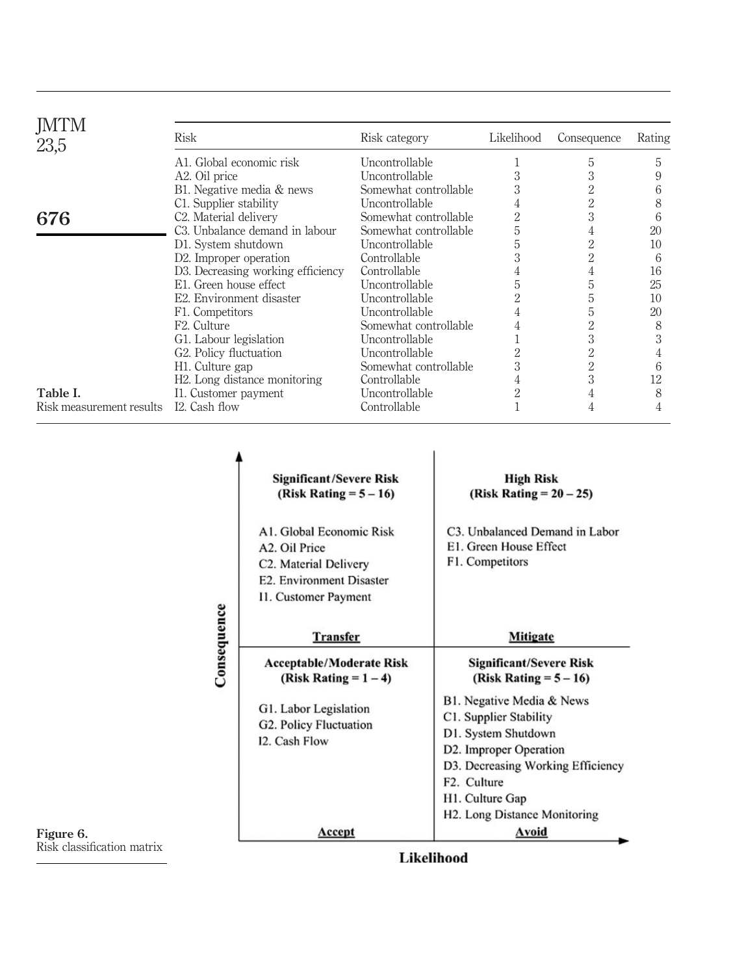| 23,5                     | Risk                                      | Risk category         | Likelihood     | Consequence    | Rating |
|--------------------------|-------------------------------------------|-----------------------|----------------|----------------|--------|
|                          | A1. Global economic risk                  | Uncontrollable        |                | 5              | 5      |
|                          | A2. Oil price                             | Uncontrollable        | 3              | 3              | 9      |
|                          | B1. Negative media & news                 | Somewhat controllable | 3              | 2              |        |
|                          | C1. Supplier stability                    | Uncontrollable        |                | $\overline{2}$ | h<br>8 |
|                          |                                           |                       | 4              |                |        |
| 676                      | C <sub>2</sub> . Material delivery        | Somewhat controllable | 2              | 3              | h      |
|                          | C3. Unbalance demand in labour            | Somewhat controllable | 5              | 4              | 20     |
|                          | D1. System shutdown                       | Uncontrollable        | 5              | $\overline{2}$ | 10     |
|                          | D <sub>2</sub> . Improper operation       | Controllable          | 3              | $\overline{2}$ | 6      |
|                          | D3. Decreasing working efficiency         | Controllable          | 4              | 4              | 16     |
|                          | E1. Green house effect                    | Uncontrollable        | 5              | 5              | 25     |
|                          | E2. Environment disaster                  | Uncontrollable        | $\overline{2}$ | 5              | 10     |
|                          | F1. Competitors                           | Uncontrollable        | 4              | 5              | 20     |
|                          | F <sub>2</sub> . Culture                  | Somewhat controllable | 4              | 2              | 8      |
|                          | G1. Labour legislation                    | Uncontrollable        |                | 3              | 3      |
|                          | G2. Policy fluctuation                    | Uncontrollable        | 2              | $\overline{2}$ | 4      |
|                          | H <sub>1</sub> . Culture gap              | Somewhat controllable | 3              | $\overline{2}$ | h      |
|                          | H <sub>2</sub> . Long distance monitoring | Controllable          | 4              | 3              | 12     |
| Table I.                 | I1. Customer payment                      | Uncontrollable        | 2              | 4              | 8      |
| Risk measurement results | I2. Cash flow                             | Controllable          |                | 4              |        |

|             | <b>Significant/Severe Risk</b><br>$(Risk Rating = 5 - 16)$                                                                                 | <b>High Risk</b><br>$(Risk Rating = 20 - 25)$                                                                                             |  |  |  |  |
|-------------|--------------------------------------------------------------------------------------------------------------------------------------------|-------------------------------------------------------------------------------------------------------------------------------------------|--|--|--|--|
| Consequence | A1. Global Economic Risk<br>A <sub>2</sub> . Oil Price<br>C2. Material Delivery<br><b>E2. Environment Disaster</b><br>11. Customer Payment | C3. Unbalanced Demand in Labor<br>E1. Green House Effect<br>F1. Competitors                                                               |  |  |  |  |
|             | <b>Transfer</b>                                                                                                                            | <b>Mitigate</b>                                                                                                                           |  |  |  |  |
|             | <b>Acceptable/Moderate Risk</b><br>(Risk Rating = $1-4$ )                                                                                  | <b>Significant/Severe Risk</b><br>(Risk Rating $= 5 - 16$ )                                                                               |  |  |  |  |
|             | G1. Labor Legislation<br>G2. Policy Fluctuation<br>12. Cash Flow                                                                           | B1. Negative Media & News<br>C1. Supplier Stability<br>D1. System Shutdown<br>D2. Improper Operation<br>D3. Decreasing Working Efficiency |  |  |  |  |
|             |                                                                                                                                            | F <sub>2</sub> . Culture<br>H1. Culture Gap<br>H <sub>2</sub> . Long Distance Monitoring                                                  |  |  |  |  |



Figure 6. Risk classification matrix

Likelihood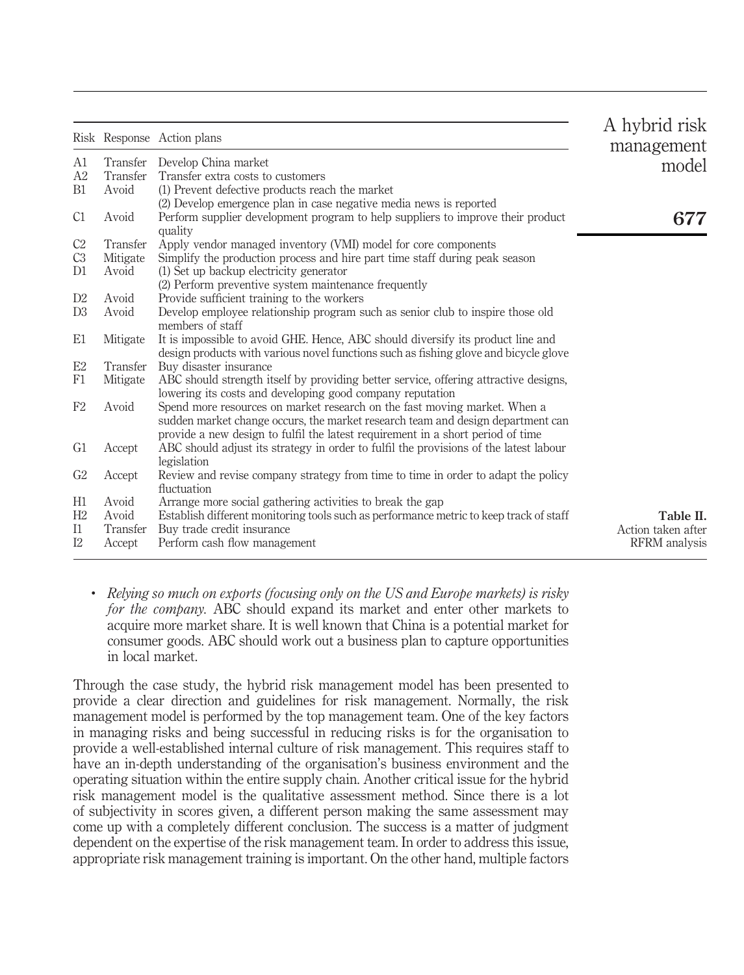|                        |          | Risk Response Action plans                                                                                                                                                                                                                      | A hybrid risk<br>management |
|------------------------|----------|-------------------------------------------------------------------------------------------------------------------------------------------------------------------------------------------------------------------------------------------------|-----------------------------|
| A1                     | Transfer | Develop China market                                                                                                                                                                                                                            | model                       |
| A2                     | Transfer | Transfer extra costs to customers                                                                                                                                                                                                               |                             |
| B1                     | Avoid    | (1) Prevent defective products reach the market                                                                                                                                                                                                 |                             |
|                        |          | (2) Develop emergence plan in case negative media news is reported                                                                                                                                                                              |                             |
| C <sub>1</sub>         | Avoid    | Perform supplier development program to help suppliers to improve their product<br>quality                                                                                                                                                      |                             |
| C <sub>2</sub>         | Transfer | Apply vendor managed inventory (VMI) model for core components                                                                                                                                                                                  |                             |
| C <sub>3</sub>         | Mitigate | Simplify the production process and hire part time staff during peak season                                                                                                                                                                     |                             |
| D1                     | Avoid    | (1) Set up backup electricity generator                                                                                                                                                                                                         |                             |
|                        |          | (2) Perform preventive system maintenance frequently                                                                                                                                                                                            |                             |
| D2                     | Avoid    | Provide sufficient training to the workers                                                                                                                                                                                                      |                             |
| D <sub>3</sub>         | Avoid    | Develop employee relationship program such as senior club to inspire those old<br>members of staff                                                                                                                                              |                             |
| E1                     | Mitigate | It is impossible to avoid GHE. Hence, ABC should diversify its product line and                                                                                                                                                                 |                             |
|                        |          | design products with various novel functions such as fishing glove and bicycle glove                                                                                                                                                            |                             |
| E2                     | Transfer | Buy disaster insurance                                                                                                                                                                                                                          |                             |
| F1                     | Mitigate | ABC should strength itself by providing better service, offering attractive designs,                                                                                                                                                            |                             |
| F2                     | Avoid    | lowering its costs and developing good company reputation                                                                                                                                                                                       |                             |
|                        |          | Spend more resources on market research on the fast moving market. When a<br>sudden market change occurs, the market research team and design department can<br>provide a new design to fulfil the latest requirement in a short period of time |                             |
| G1                     | Accept   | ABC should adjust its strategy in order to fulfil the provisions of the latest labour                                                                                                                                                           |                             |
|                        |          | legislation                                                                                                                                                                                                                                     |                             |
| G <sub>2</sub>         | Accept   | Review and revise company strategy from time to time in order to adapt the policy                                                                                                                                                               |                             |
|                        |          | fluctuation                                                                                                                                                                                                                                     |                             |
| H1                     | Avoid    | Arrange more social gathering activities to break the gap                                                                                                                                                                                       |                             |
| H2                     | Avoid    | Establish different monitoring tools such as performance metric to keep track of staff                                                                                                                                                          | Table II.                   |
| $\mathop{\mathrm{I1}}$ | Transfer | Buy trade credit insurance                                                                                                                                                                                                                      | Action taken after          |
| 12                     | Accept   | Perform cash flow management                                                                                                                                                                                                                    | RFRM analysis               |

. Relying so much on exports (focusing only on the US and Europe markets) is risky for the company. ABC should expand its market and enter other markets to acquire more market share. It is well known that China is a potential market for consumer goods. ABC should work out a business plan to capture opportunities in local market.

Through the case study, the hybrid risk management model has been presented to provide a clear direction and guidelines for risk management. Normally, the risk management model is performed by the top management team. One of the key factors in managing risks and being successful in reducing risks is for the organisation to provide a well-established internal culture of risk management. This requires staff to have an in-depth understanding of the organisation's business environment and the operating situation within the entire supply chain. Another critical issue for the hybrid risk management model is the qualitative assessment method. Since there is a lot of subjectivity in scores given, a different person making the same assessment may come up with a completely different conclusion. The success is a matter of judgment dependent on the expertise of the risk management team. In order to address this issue, appropriate risk management training is important. On the other hand, multiple factors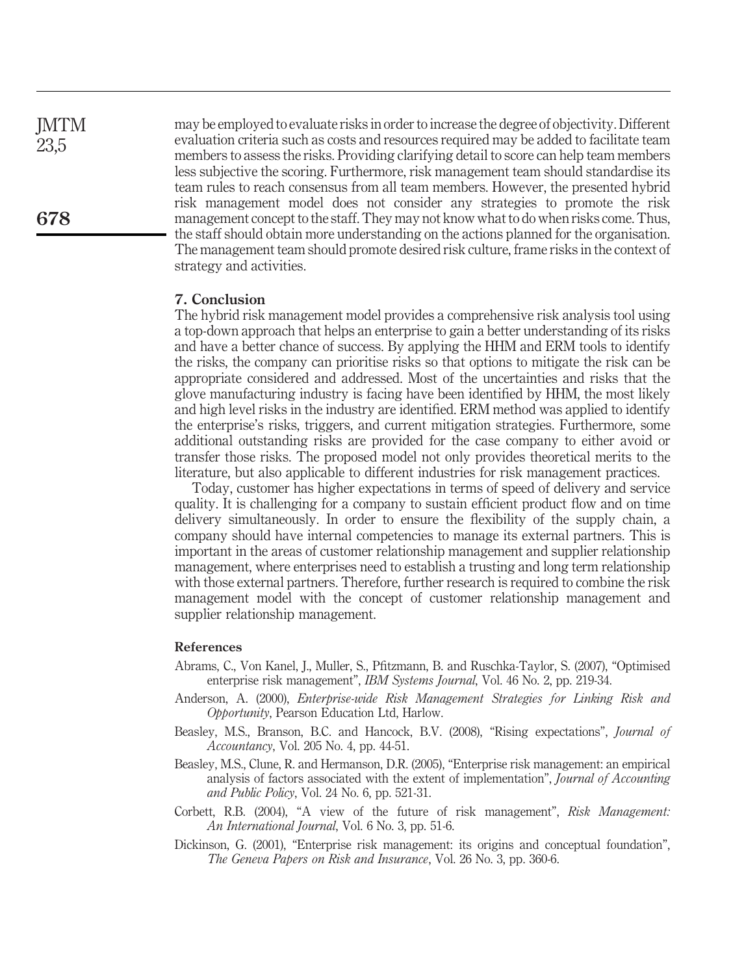**IMTM** 23,5

may be employed to evaluate risks in order to increase the degree of objectivity. Different evaluation criteria such as costs and resources required may be added to facilitate team members to assess the risks. Providing clarifying detail to score can help team members less subjective the scoring. Furthermore, risk management team should standardise its team rules to reach consensus from all team members. However, the presented hybrid risk management model does not consider any strategies to promote the risk management concept to the staff. They may not know what to do when risks come. Thus, the staff should obtain more understanding on the actions planned for the organisation. The management team should promote desired risk culture, frame risks in the context of strategy and activities.

#### 7. Conclusion

The hybrid risk management model provides a comprehensive risk analysis tool using a top-down approach that helps an enterprise to gain a better understanding of its risks and have a better chance of success. By applying the HHM and ERM tools to identify the risks, the company can prioritise risks so that options to mitigate the risk can be appropriate considered and addressed. Most of the uncertainties and risks that the glove manufacturing industry is facing have been identified by HHM, the most likely and high level risks in the industry are identified. ERM method was applied to identify the enterprise's risks, triggers, and current mitigation strategies. Furthermore, some additional outstanding risks are provided for the case company to either avoid or transfer those risks. The proposed model not only provides theoretical merits to the literature, but also applicable to different industries for risk management practices.

Today, customer has higher expectations in terms of speed of delivery and service quality. It is challenging for a company to sustain efficient product flow and on time delivery simultaneously. In order to ensure the flexibility of the supply chain, a company should have internal competencies to manage its external partners. This is important in the areas of customer relationship management and supplier relationship management, where enterprises need to establish a trusting and long term relationship with those external partners. Therefore, further research is required to combine the risk management model with the concept of customer relationship management and supplier relationship management.

#### References

- Abrams, C., Von Kanel, J., Muller, S., Pfitzmann, B. and Ruschka-Taylor, S. (2007), "Optimised enterprise risk management", IBM Systems Journal, Vol. 46 No. 2, pp. 219-34.
- Anderson, A. (2000), Enterprise-wide Risk Management Strategies for Linking Risk and Opportunity, Pearson Education Ltd, Harlow.
- Beasley, M.S., Branson, B.C. and Hancock, B.V. (2008), "Rising expectations", Journal of Accountancy, Vol. 205 No. 4, pp. 44-51.
- Beasley, M.S., Clune, R. and Hermanson, D.R. (2005), "Enterprise risk management: an empirical analysis of factors associated with the extent of implementation", Journal of Accounting and Public Policy, Vol. 24 No. 6, pp. 521-31.
- Corbett, R.B. (2004), "A view of the future of risk management", Risk Management: An International Journal, Vol. 6 No. 3, pp. 51-6.
- Dickinson, G. (2001), "Enterprise risk management: its origins and conceptual foundation", The Geneva Papers on Risk and Insurance, Vol. 26 No. 3, pp. 360-6.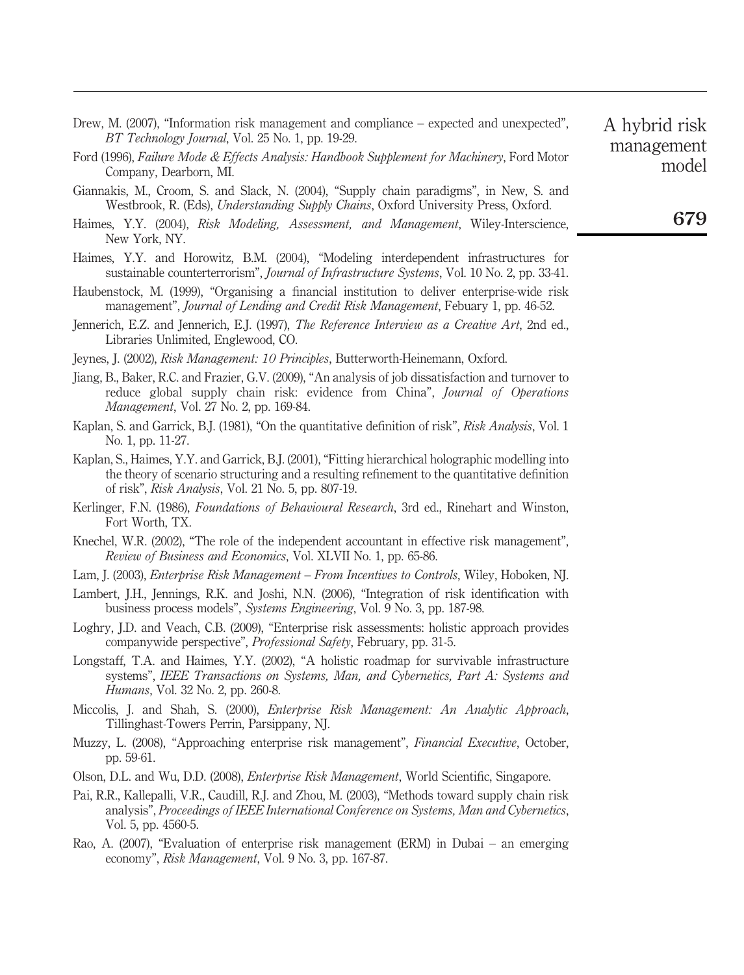|  |  |                                                         |  |  |  | Drew, M. $(2007)$ , "Information risk management and compliance – expected and unexpected", |
|--|--|---------------------------------------------------------|--|--|--|---------------------------------------------------------------------------------------------|
|  |  | <i>BT Technology Journal, Vol. 25 No. 1, pp. 19-29.</i> |  |  |  |                                                                                             |

- Ford (1996), Failure Mode & Effects Analysis: Handbook Supplement for Machinery, Ford Motor Company, Dearborn, MI.
- Giannakis, M., Croom, S. and Slack, N. (2004), "Supply chain paradigms", in New, S. and Westbrook, R. (Eds), Understanding Supply Chains, Oxford University Press, Oxford.
- Haimes, Y.Y. (2004), Risk Modeling, Assessment, and Management, Wiley-Interscience, New York, NY.
- Haimes, Y.Y. and Horowitz, B.M. (2004), "Modeling interdependent infrastructures for sustainable counterterrorism", Journal of Infrastructure Systems, Vol. 10 No. 2, pp. 33-41.
- Haubenstock, M. (1999), "Organising a financial institution to deliver enterprise-wide risk management", Journal of Lending and Credit Risk Management, Febuary 1, pp. 46-52.
- Jennerich, E.Z. and Jennerich, E.J. (1997), The Reference Interview as a Creative Art, 2nd ed., Libraries Unlimited, Englewood, CO.
- Jeynes, J. (2002), Risk Management: 10 Principles, Butterworth-Heinemann, Oxford.
- Jiang, B., Baker, R.C. and Frazier, G.V. (2009), "An analysis of job dissatisfaction and turnover to reduce global supply chain risk: evidence from China", *Journal of Operations* Management, Vol. 27 No. 2, pp. 169-84.
- Kaplan, S. and Garrick, B.J. (1981), "On the quantitative definition of risk", Risk Analysis, Vol. 1 No. 1, pp. 11-27.
- Kaplan, S., Haimes, Y.Y. and Garrick, B.J. (2001), "Fitting hierarchical holographic modelling into the theory of scenario structuring and a resulting refinement to the quantitative definition of risk", Risk Analysis, Vol. 21 No. 5, pp. 807-19.
- Kerlinger, F.N. (1986), Foundations of Behavioural Research, 3rd ed., Rinehart and Winston, Fort Worth, TX.
- Knechel, W.R. (2002), "The role of the independent accountant in effective risk management", Review of Business and Economics, Vol. XLVII No. 1, pp. 65-86.
- Lam, J. (2003), Enterprise Risk Management From Incentives to Controls, Wiley, Hoboken, NJ.
- Lambert, J.H., Jennings, R.K. and Joshi, N.N. (2006), "Integration of risk identification with business process models", Systems Engineering, Vol. 9 No. 3, pp. 187-98.
- Loghry, J.D. and Veach, C.B. (2009), "Enterprise risk assessments: holistic approach provides companywide perspective", Professional Safety, February, pp. 31-5.
- Longstaff, T.A. and Haimes, Y.Y. (2002), "A holistic roadmap for survivable infrastructure systems", IEEE Transactions on Systems, Man, and Cybernetics, Part A: Systems and Humans, Vol. 32 No. 2, pp. 260-8.
- Miccolis, J. and Shah, S. (2000), Enterprise Risk Management: An Analytic Approach, Tillinghast-Towers Perrin, Parsippany, NJ.
- Muzzy, L. (2008), "Approaching enterprise risk management", Financial Executive, October, pp. 59-61.
- Olson, D.L. and Wu, D.D. (2008), Enterprise Risk Management, World Scientific, Singapore.
- Pai, R.R., Kallepalli, V.R., Caudill, R.J. and Zhou, M. (2003), "Methods toward supply chain risk analysis", Proceedings of IEEE International Conference on Systems, Man and Cybernetics, Vol. 5, pp. 4560-5.
- Rao, A. (2007), "Evaluation of enterprise risk management (ERM) in Dubai an emerging economy", Risk Management, Vol. 9 No. 3, pp. 167-87.

679

A hybrid risk management